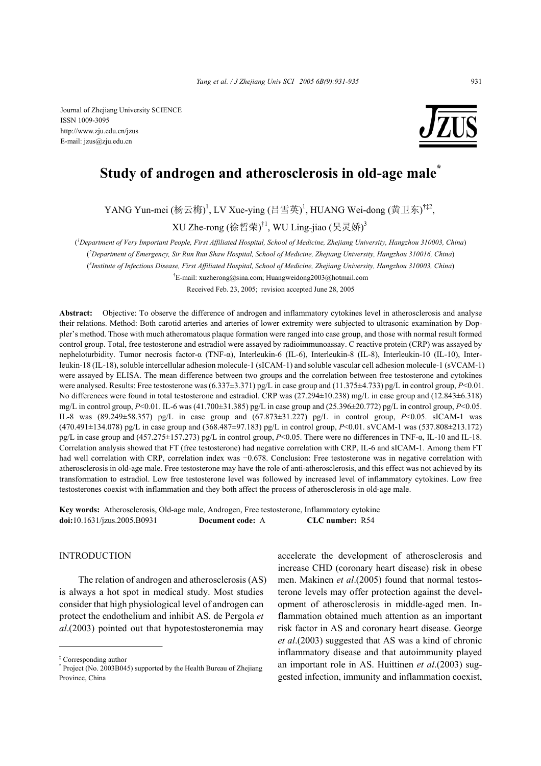

# **Study of androgen and atherosclerosis in old-age male\***

YANG Yun-mei (杨云梅)<sup>1</sup>, LV Xue-ying (吕雪英)<sup>1</sup>, HUANG Wei-dong (黄卫东)<sup>†‡2</sup>,

XU Zhe-rong (徐哲荣)<sup>†1</sup>, WU Ling-jiao (吴灵娇)<sup>3</sup>

( *1 Department of Very Important People, First Affiliated Hospital, School of Medicine, Zhejiang University, Hangzhou 310003, China*) ( *2 Department of Emergency, Sir Run Run Shaw Hospital, School of Medicine, Zhejiang University, Hangzhou 310016, China*) ( *3 Institute of Infectious Disease, First Affiliated Hospital, School of Medicine, Zhejiang University, Hangzhou 310003, China*) † E-mail: xuzherong@sina.com; Huangweidong2003@hotmail.com

Received Feb. 23, 2005; revision accepted June 28, 2005

**Abstract:** Objective: To observe the difference of androgen and inflammatory cytokines level in atherosclerosis and analyse their relations. Method: Both carotid arteries and arteries of lower extremity were subjected to ultrasonic examination by Doppler's method. Those with much atheromatous plaque formation were ranged into case group, and those with normal result formed control group. Total, free testosterone and estradiol were assayed by radioimmunoassay. C reactive protein (CRP) was assayed by nepheloturbidity. Tumor necrosis factor-α (TNF-α), Interleukin-6 (IL-6), Interleukin-8 (IL-8), Interleukin-10 (IL-10), Interleukin-18 (IL-18), soluble intercellular adhesion molecule-1 (sICAM-1) and soluble vascular cell adhesion molecule-1 (sVCAM-1) were assayed by ELISA. The mean difference between two groups and the correlation between free testosterone and cytokines were analysed. Results: Free testosterone was (6.337±3.371) pg/L in case group and (11.375±4.733) pg/L in control group, *P*<0.01. No differences were found in total testosterone and estradiol. CRP was (27.294±10.238) mg/L in case group and (12.843±6.318) mg/L in control group, *P*<0.01. IL-6 was (41.700±31.385) pg/L in case group and (25.396±20.772) pg/L in control group, *P*<0.05. IL-8 was (89.249±58.357) pg/L in case group and (67.873±31.227) pg/L in control group, *P*<0.05. sICAM-1 was (470.491±134.078) pg/L in case group and (368.487±97.183) pg/L in control group, *P*<0.01. sVCAM-1 was (537.808±213.172) pg/L in case group and (457.275±157.273) pg/L in control group, *P*<0.05. There were no differences in TNF-α, IL-10 and IL-18. Correlation analysis showed that FT (free testosterone) had negative correlation with CRP, IL-6 and sICAM-1. Among them FT had well correlation with CRP, correlation index was −0.678. Conclusion: Free testosterone was in negative correlation with atherosclerosis in old-age male. Free testosterone may have the role of anti-atherosclerosis, and this effect was not achieved by its transformation to estradiol. Low free testosterone level was followed by increased level of inflammatory cytokines. Low free testosterones coexist with inflammation and they both affect the process of atherosclerosis in old-age male.

**Key words:** Atherosclerosis, Old-age male, Androgen, Free testosterone, Inflammatory cytokine **doi:**10.1631/jzus.2005.B0931 **Document code:** A **CLC number:** R54

## **INTRODUCTION**

The relation of androgen and atherosclerosis (AS) is always a hot spot in medical study. Most studies consider that high physiological level of androgen can protect the endothelium and inhibit AS. de Pergola *et al*.(2003) pointed out that hypotestosteronemia may

accelerate the development of atherosclerosis and increase CHD (coronary heart disease) risk in obese men. Makinen *et al*.(2005) found that normal testosterone levels may offer protection against the development of atherosclerosis in middle-aged men. Inflammation obtained much attention as an important risk factor in AS and coronary heart disease. George *et al*.(2003) suggested that AS was a kind of chronic inflammatory disease and that autoimmunity played an important role in AS. Huittinen *et al*.(2003) suggested infection, immunity and inflammation coexist,

<sup>‡</sup> Corresponding author

<sup>\*</sup> Project (No. 2003B045) supported by the Health Bureau of Zhejiang Province, China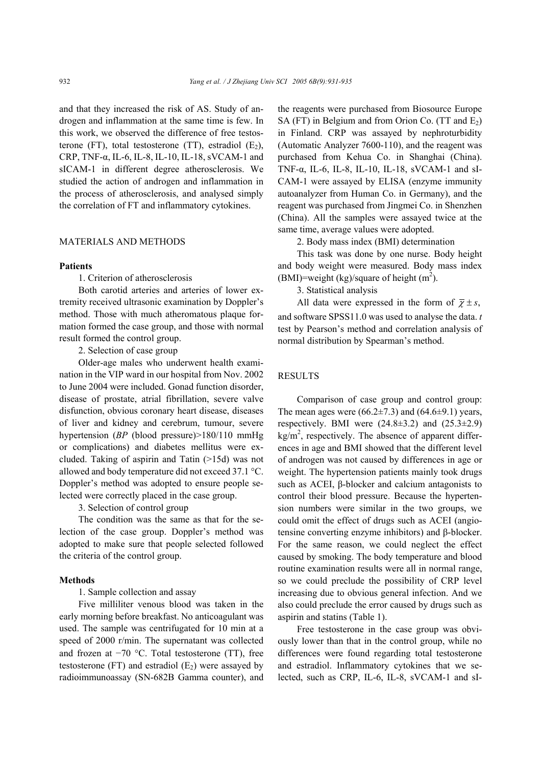and that they increased the risk of AS. Study of androgen and inflammation at the same time is few. In this work, we observed the difference of free testosterone (FT), total testosterone (TT), estradiol  $(E_2)$ , CRP, TNF-α, IL-6, IL-8, IL-10, IL-18, sVCAM-1 and sICAM-1 in different degree atherosclerosis. We studied the action of androgen and inflammation in the process of atherosclerosis, and analysed simply the correlation of FT and inflammatory cytokines.

#### MATERIALS AND METHODS

#### **Patients**

1. Criterion of atherosclerosis

Both carotid arteries and arteries of lower extremity received ultrasonic examination by Doppler's method. Those with much atheromatous plaque formation formed the case group, and those with normal result formed the control group.

2. Selection of case group

Older-age males who underwent health examination in the VIP ward in our hospital from Nov. 2002 to June 2004 were included. Gonad function disorder, disease of prostate, atrial fibrillation, severe valve disfunction, obvious coronary heart disease, diseases of liver and kidney and cerebrum, tumour, severe hypertension (*BP* (blood pressure)>180/110 mmHg or complications) and diabetes mellitus were excluded. Taking of aspirin and Tatin (>15d) was not allowed and body temperature did not exceed 37.1 °C. Doppler's method was adopted to ensure people selected were correctly placed in the case group.

3. Selection of control group

The condition was the same as that for the selection of the case group. Doppler's method was adopted to make sure that people selected followed the criteria of the control group.

#### **Methods**

1. Sample collection and assay

Five milliliter venous blood was taken in the early morning before breakfast. No anticoagulant was used. The sample was centrifugated for 10 min at a speed of 2000 r/min. The supernatant was collected and frozen at −70 °C. Total testosterone (TT), free testosterone (FT) and estradiol  $(E_2)$  were assayed by radioimmunoassay (SN-682B Gamma counter), and the reagents were purchased from Biosource Europe SA (FT) in Belgium and from Orion Co. (TT and  $E_2$ ) in Finland. CRP was assayed by nephroturbidity (Automatic Analyzer 7600-110), and the reagent was purchased from Kehua Co. in Shanghai (China). TNF-α, IL-6, IL-8, IL-10, IL-18, sVCAM-1 and sI-CAM-1 were assayed by ELISA (enzyme immunity autoanalyzer from Human Co. in Germany), and the reagent was purchased from Jingmei Co. in Shenzhen (China). All the samples were assayed twice at the same time, average values were adopted.

2. Body mass index (BMI) determination

This task was done by one nurse. Body height and body weight were measured. Body mass index (BMI)=weight (kg)/square of height  $(m<sup>2</sup>)$ .

3. Statistical analysis

All data were expressed in the form of  $\overline{\chi} \pm s$ , and software SPSS11.0 was used to analyse the data. *t*  test by Pearson's method and correlation analysis of normal distribution by Spearman's method.

## **RESULTS**

Comparison of case group and control group: The mean ages were  $(66.2\pm7.3)$  and  $(64.6\pm9.1)$  years, respectively. BMI were  $(24.8\pm3.2)$  and  $(25.3\pm2.9)$  $\text{kg/m}^2$ , respectively. The absence of apparent differences in age and BMI showed that the different level of androgen was not caused by differences in age or weight. The hypertension patients mainly took drugs such as ACEI, β-blocker and calcium antagonists to control their blood pressure. Because the hypertension numbers were similar in the two groups, we could omit the effect of drugs such as ACEI (angiotensine converting enzyme inhibitors) and β-blocker. For the same reason, we could neglect the effect caused by smoking. The body temperature and blood routine examination results were all in normal range, so we could preclude the possibility of CRP level increasing due to obvious general infection. And we also could preclude the error caused by drugs such as aspirin and statins (Table 1).

Free testosterone in the case group was obviously lower than that in the control group, while no differences were found regarding total testosterone and estradiol. Inflammatory cytokines that we selected, such as CRP, IL-6, IL-8, sVCAM-1 and sI-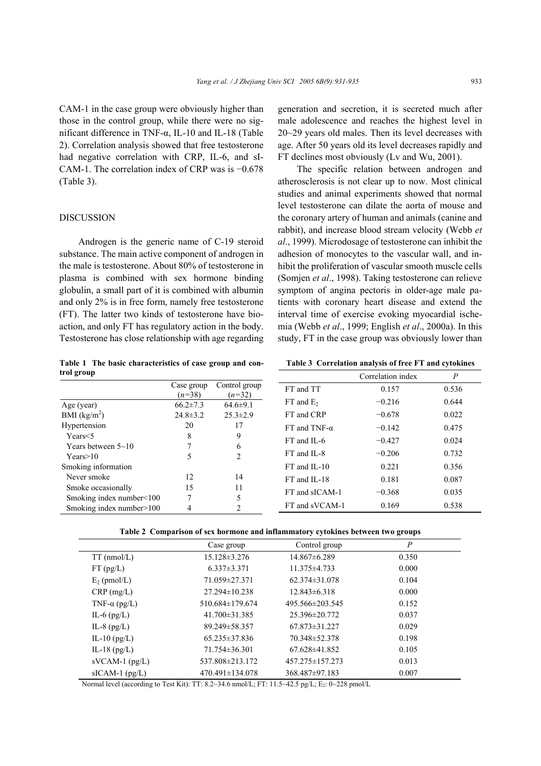CAM-1 in the case group were obviously higher than those in the control group, while there were no significant difference in TNF-α, IL-10 and IL-18 (Table 2). Correlation analysis showed that free testosterone had negative correlation with CRP, IL-6, and sI-CAM-1. The correlation index of CRP was is −0.678 (Table 3).

### DISCUSSION

Androgen is the generic name of C-19 steroid substance. The main active component of androgen in the male is testosterone. About 80% of testosterone in plasma is combined with sex hormone binding globulin, a small part of it is combined with albumin and only 2% is in free form, namely free testosterone (FT). The latter two kinds of testosterone have bioaction, and only FT has regulatory action in the body. Testosterone has close relationship with age regarding generation and secretion, it is secreted much after male adolescence and reaches the highest level in 20~29 years old males. Then its level decreases with age. After 50 years old its level decreases rapidly and FT declines most obviously (Lv and Wu, 2001).

The specific relation between androgen and atherosclerosis is not clear up to now. Most clinical studies and animal experiments showed that normal level testosterone can dilate the aorta of mouse and the coronary artery of human and animals (canine and rabbit), and increase blood stream velocity (Webb *et al*., 1999). Microdosage of testosterone can inhibit the adhesion of monocytes to the vascular wall, and inhibit the proliferation of vascular smooth muscle cells (Somjen *et al*., 1998). Taking testosterone can relieve symptom of angina pectoris in older-age male patients with coronary heart disease and extend the interval time of exercise evoking myocardial ischemia (Webb *et al*., 1999; English *et al*., 2000a). In this study, FT in the case group was obviously lower than

**Table 1 The basic characteristics of case group and control group** 

|                             | Case group<br>$(n=38)$ | Control group<br>$(n=32)$ |
|-----------------------------|------------------------|---------------------------|
| Age (year)                  | $66.2 \pm 7.3$         | $64.6 \pm 9.1$            |
| BMI $(kg/m2)$               | $24.8 \pm 3.2$         | $25.3 \pm 2.9$            |
| Hypertension                | 20                     | 17                        |
| $\text{Years} \leq 5$       | 8                      | 9                         |
| Years between $5\text{~}10$ | 7                      | 6                         |
| Years > 10                  | 5                      | $\mathfrak{D}$            |
| Smoking information         |                        |                           |
| Never smoke                 | 12                     | 14                        |
| Smoke occasionally          | 15                     | 11                        |
| Smoking index number<100    | 7                      | 5                         |
| Smoking index number>100    |                        |                           |

**Table 3 Correlation analysis of free FT and cytokines** 

|                      | Correlation index | $\overline{P}$ |
|----------------------|-------------------|----------------|
| FT and TT            | 0.157             | 0.536          |
| FT and $E2$          | $-0.216$          | 0.644          |
| FT and CRP           | $-0.678$          | 0.022          |
| FT and TNF- $\alpha$ | $-0.142$          | 0.475          |
| FT and II -6         | $-0.427$          | 0.024          |
| FT and II -8         | $-0.206$          | 0.732          |
| $FT$ and $IL-10$     | 0.221             | 0.356          |
| $FT$ and $H - 18$    | 0.181             | 0.087          |
| FT and sICAM-1       | $-0.368$          | 0.035          |
| FT and sVCAM-1       | 0.169             | 0.538          |

|  |  |  |  |  | Table 2 Comparison of sex hormone and inflammatory cytokines between two groups |
|--|--|--|--|--|---------------------------------------------------------------------------------|
|--|--|--|--|--|---------------------------------------------------------------------------------|

|                      | Case group            | Control group         | P     |
|----------------------|-----------------------|-----------------------|-------|
| $TT$ (nmol/L)        | $15.128 \pm 3.276$    | $14.867\pm6.289$      | 0.350 |
| $FT$ (pg/L)          | $6.337 \pm 3.371$     | $11.375 \pm 4.733$    | 0.000 |
| $E_2$ (pmol/L)       | 71.059±27.371         | $62.374 \pm 31.078$   | 0.104 |
| $CRP$ (mg/L)         | $27.294 \pm 10.238$   | $12.843\pm 6.318$     | 0.000 |
| TNF- $\alpha$ (pg/L) | $510.684\pm179.674$   | $495.566 \pm 203.545$ | 0.152 |
| IL-6 $(pg/L)$        | $41.700 \pm 31.385$   | 25.396±20.772         | 0.037 |
| IL-8 $(pg/L)$        | 89.249±58.357         | $67.873 \pm 31.227$   | 0.029 |
| IL-10 $(pg/L)$       | $65.235 \pm 37.836$   | 70.348±52.378         | 0.198 |
| IL-18 $(pg/L)$       | $71.754 \pm 36.301$   | $67.628\pm41.852$     | 0.105 |
| $sVCAM-1$ (pg/L)     | 537.808±213.172       | $457.275 \pm 157.273$ | 0.013 |
| $sICAM-1$ (pg/L)     | $470.491 \pm 134.078$ | 368.487±97.183        | 0.007 |

Normal level (according to Test Kit): TT: 8.2~34.6 nmol/L; FT: 11.5~42.5 pg/L; E<sub>2</sub>: 0~228 pmol/L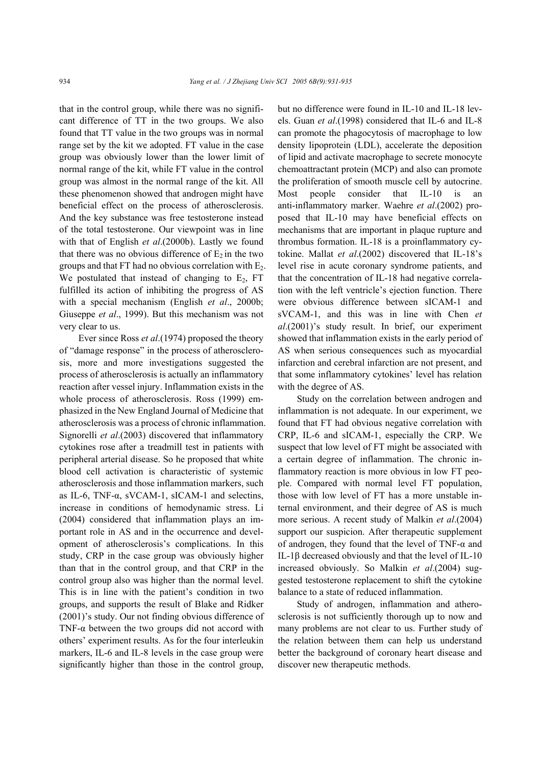that in the control group, while there was no significant difference of TT in the two groups. We also found that TT value in the two groups was in normal range set by the kit we adopted. FT value in the case group was obviously lower than the lower limit of normal range of the kit, while FT value in the control group was almost in the normal range of the kit. All these phenomenon showed that androgen might have beneficial effect on the process of atherosclerosis. And the key substance was free testosterone instead of the total testosterone. Our viewpoint was in line with that of English *et al*.(2000b). Lastly we found that there was no obvious difference of  $E_2$  in the two groups and that FT had no obvious correlation with  $E_2$ . We postulated that instead of changing to  $E_2$ , FT fulfilled its action of inhibiting the progress of AS with a special mechanism (English *et al*., 2000b; Giuseppe *et al*., 1999). But this mechanism was not very clear to us.

Ever since Ross *et al*.(1974) proposed the theory of "damage response" in the process of atherosclerosis, more and more investigations suggested the process of atherosclerosis is actually an inflammatory reaction after vessel injury. Inflammation exists in the whole process of atherosclerosis. Ross (1999) emphasized in the New England Journal of Medicine that atherosclerosis was a process of chronic inflammation. Signorelli *et al*.(2003) discovered that inflammatory cytokines rose after a treadmill test in patients with peripheral arterial disease. So he proposed that white blood cell activation is characteristic of systemic atherosclerosis and those inflammation markers, such as IL-6, TNF-α, sVCAM-1, sICAM-1 and selectins, increase in conditions of hemodynamic stress. Li (2004) considered that inflammation plays an important role in AS and in the occurrence and development of atherosclerosis's complications. In this study, CRP in the case group was obviously higher than that in the control group, and that CRP in the control group also was higher than the normal level. This is in line with the patient's condition in two groups, and supports the result of Blake and Ridker (2001)'s study. Our not finding obvious difference of TNF- $\alpha$  between the two groups did not accord with others' experiment results. As for the four interleukin markers, IL-6 and IL-8 levels in the case group were significantly higher than those in the control group,

but no difference were found in IL-10 and IL-18 levels. Guan *et al*.(1998) considered that IL-6 and IL-8 can promote the phagocytosis of macrophage to low density lipoprotein (LDL), accelerate the deposition of lipid and activate macrophage to secrete monocyte chemoattractant protein (MCP) and also can promote the proliferation of smooth muscle cell by autocrine. Most people consider that IL-10 is an anti-inflammatory marker. Waehre *et al*.(2002) proposed that IL-10 may have beneficial effects on mechanisms that are important in plaque rupture and thrombus formation. IL-18 is a proinflammatory cytokine. Mallat *et al*.(2002) discovered that IL-18's level rise in acute coronary syndrome patients, and that the concentration of IL-18 had negative correlation with the left ventricle's ejection function. There were obvious difference between sICAM-1 and sVCAM-1, and this was in line with Chen *et al*.(2001)'s study result. In brief, our experiment showed that inflammation exists in the early period of AS when serious consequences such as myocardial infarction and cerebral infarction are not present, and that some inflammatory cytokines' level has relation with the degree of AS.

Study on the correlation between androgen and inflammation is not adequate. In our experiment, we found that FT had obvious negative correlation with CRP, IL-6 and sICAM-1, especially the CRP. We suspect that low level of FT might be associated with a certain degree of inflammation. The chronic inflammatory reaction is more obvious in low FT people. Compared with normal level FT population, those with low level of FT has a more unstable internal environment, and their degree of AS is much more serious. A recent study of Malkin *et al*.(2004) support our suspicion. After therapeutic supplement of androgen, they found that the level of TNF- $\alpha$  and IL-1β decreased obviously and that the level of IL-10 increased obviously. So Malkin *et al*.(2004) suggested testosterone replacement to shift the cytokine balance to a state of reduced inflammation.

Study of androgen, inflammation and atherosclerosis is not sufficiently thorough up to now and many problems are not clear to us. Further study of the relation between them can help us understand better the background of coronary heart disease and discover new therapeutic methods.